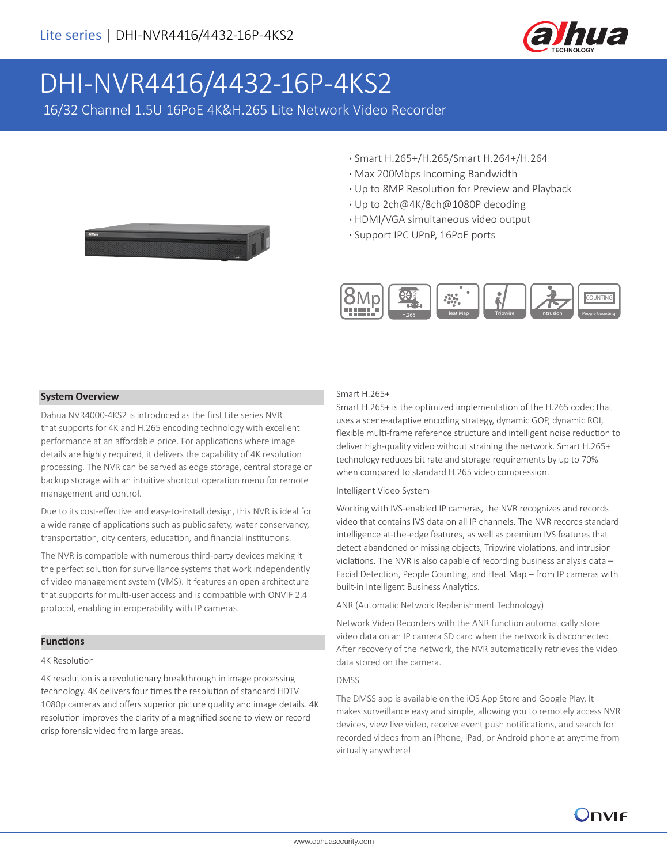

# DHI-NVR4416/4432-16P-4KS2

16/32 Channel 1.5U 16PoE 4K&H.265 Lite Network Video Recorder

- **·** Smart H.265+/H.265/Smart H.264+/H.264
- **·** Max 200Mbps Incoming Bandwidth
- **·** Up to 8MP Resolution for Preview and Playback
- **·** Up to 2ch@4K/8ch@1080P decoding
- **·** HDMI/VGA simultaneous video output
- **·** Support IPC UPnP, 16PoE ports



#### **System Overview**

Dahua NVR4000-4KS2 is introduced as the first Lite series NVR that supports for 4K and H.265 encoding technology with excellent performance at an affordable price. For applications where image details are highly required, it delivers the capability of 4K resolution processing. The NVR can be served as edge storage, central storage or backup storage with an intuitive shortcut operation menu for remote management and control.

Due to its cost-effective and easy-to-install design, this NVR is ideal for a wide range of applications such as public safety, water conservancy, transportation, city centers, education, and financial institutions.

The NVR is compatible with numerous third-party devices making it the perfect solution for surveillance systems that work independently of video management system (VMS). It features an open architecture that supports for multi-user access and is compatible with ONVIF 2.4 protocol, enabling interoperability with IP cameras.

#### **Functions**

#### 4K Resolution

4K resolution is a revolutionary breakthrough in image processing technology. 4K delivers four times the resolution of standard HDTV 1080p cameras and offers superior picture quality and image details. 4K resolution improves the clarity of a magnified scene to view or record crisp forensic video from large areas.

#### Smart H.265+

Smart H.265+ is the optimized implementation of the H.265 codec that uses a scene-adaptive encoding strategy, dynamic GOP, dynamic ROI, flexible multi-frame reference structure and intelligent noise reduction to deliver high-quality video without straining the network. Smart H.265+ technology reduces bit rate and storage requirements by up to 70% when compared to standard H.265 video compression.

#### Intelligent Video System

Working with IVS-enabled IP cameras, the NVR recognizes and records video that contains IVS data on all IP channels. The NVR records standard intelligence at-the-edge features, as well as premium IVS features that detect abandoned or missing objects, Tripwire violations, and intrusion violations. The NVR is also capable of recording business analysis data – Facial Detection, People Counting, and Heat Map – from IP cameras with built-in Intelligent Business Analytics.

ANR (Automatic Network Replenishment Technology)

Network Video Recorders with the ANR function automatically store video data on an IP camera SD card when the network is disconnected. After recovery of the network, the NVR automatically retrieves the video data stored on the camera.

#### DMSS

The DMSS app is available on the iOS App Store and Google Play. It makes surveillance easy and simple, allowing you to remotely access NVR devices, view live video, receive event push notifications, and search for recorded videos from an iPhone, iPad, or Android phone at anytime from virtually anywhere!

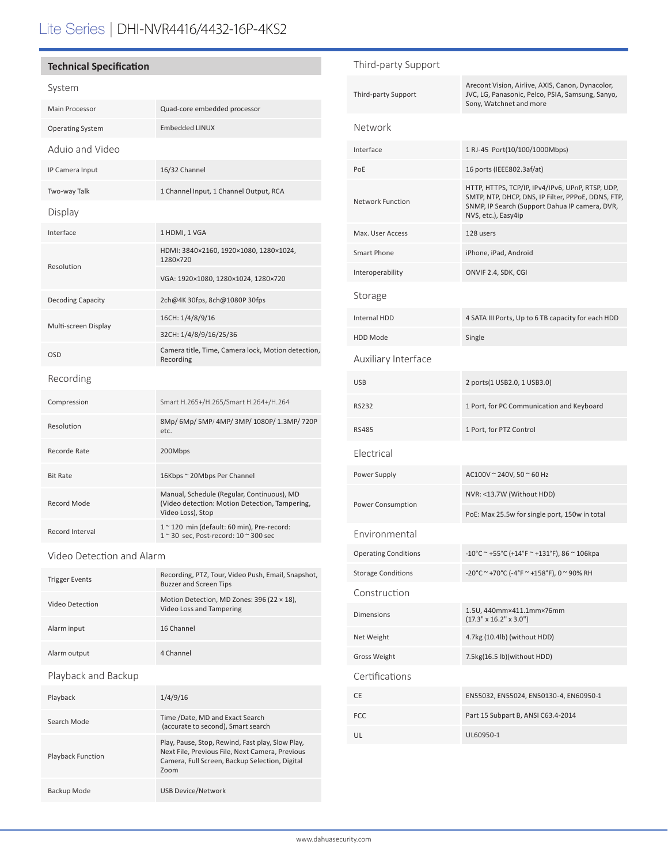# Lite Series | DHI-NVR4416/4432-16P-4KS2

## **Technical Specification**

### System

| Main Processor           | Quad-core embedded processor                                                                                      |  |
|--------------------------|-------------------------------------------------------------------------------------------------------------------|--|
| <b>Operating System</b>  | <b>Embedded LINUX</b>                                                                                             |  |
| Aduio and Video          |                                                                                                                   |  |
| IP Camera Input          | 16/32 Channel                                                                                                     |  |
| Two-way Talk             | 1 Channel Input, 1 Channel Output, RCA                                                                            |  |
| Display                  |                                                                                                                   |  |
| Interface                | 1 HDMI, 1 VGA                                                                                                     |  |
| Resolution               | HDMI: 3840×2160, 1920×1080, 1280×1024,<br>1280×720                                                                |  |
|                          | VGA: 1920×1080, 1280×1024, 1280×720                                                                               |  |
| <b>Decoding Capacity</b> | 2ch@4K 30fps, 8ch@1080P 30fps                                                                                     |  |
| Multi-screen Display     | 16CH: 1/4/8/9/16                                                                                                  |  |
|                          | 32CH: 1/4/8/9/16/25/36                                                                                            |  |
| <b>OSD</b>               | Camera title, Time, Camera lock, Motion detection,<br>Recording                                                   |  |
| Recording                |                                                                                                                   |  |
| Compression              | Smart H.265+/H.265/Smart H.264+/H.264                                                                             |  |
| Resolution               | 8Mp/6Mp/5MP/4MP/3MP/1080P/1.3MP/720P<br>etc.                                                                      |  |
| Recorde Rate             | 200Mbps                                                                                                           |  |
| <b>Bit Rate</b>          | 16Kbps ~ 20Mbps Per Channel                                                                                       |  |
| Record Mode              | Manual, Schedule (Regular, Continuous), MD<br>(Video detection: Motion Detection, Tampering,<br>Video Loss), Stop |  |
| Record Interval          | 1~120 min (default: 60 min), Pre-record:<br>1~30 sec, Post-record: 10~300 sec                                     |  |

Video Detection and Alarm

Playback Function

|                       | Recording, PTZ, Tour, Video Push, Email, Snapshot,                            |  |
|-----------------------|-------------------------------------------------------------------------------|--|
| <b>Trigger Events</b> | <b>Buzzer and Screen Tips</b>                                                 |  |
| Video Detection       | Motion Detection, MD Zones: 396 (22 $\times$ 18),<br>Video Loss and Tampering |  |
| Alarm input           | 16 Channel                                                                    |  |
| Alarm output          | 4 Channel                                                                     |  |
| Playback and Backup   |                                                                               |  |
| Playback              | 1/4/9/16                                                                      |  |
| Search Mode           | Time /Date, MD and Exact Search<br>(accurate to second), Smart search         |  |

Zoom

Backup Mode USB Device/Network

Play, Pause, Stop, Rewind, Fast play, Slow Play, Next File, Previous File, Next Camera, Previous Camera, Full Screen, Backup Selection, Digital

| Third-party Support         |                                                                                                                                                                                 |
|-----------------------------|---------------------------------------------------------------------------------------------------------------------------------------------------------------------------------|
| Third-party Support         | Arecont Vision, Airlive, AXIS, Canon, Dynacolor,<br>JVC, LG, Panasonic, Pelco, PSIA, Samsung, Sanyo,<br>Sony, Watchnet and more                                                 |
| Network                     |                                                                                                                                                                                 |
| Interface                   | 1 RJ-45 Port(10/100/1000Mbps)                                                                                                                                                   |
| PoE                         | 16 ports (IEEE802.3af/at)                                                                                                                                                       |
| <b>Network Function</b>     | HTTP, HTTPS, TCP/IP, IPv4/IPv6, UPnP, RTSP, UDP,<br>SMTP, NTP, DHCP, DNS, IP Filter, PPPoE, DDNS, FTP,<br>SNMP, IP Search (Support Dahua IP camera, DVR,<br>NVS, etc.), Easy4ip |
| Max. User Access            | 128 users                                                                                                                                                                       |
| Smart Phone                 | iPhone, iPad, Android                                                                                                                                                           |
| Interoperability            | ONVIF 2.4, SDK, CGI                                                                                                                                                             |
| Storage                     |                                                                                                                                                                                 |
| Internal HDD                | 4 SATA III Ports, Up to 6 TB capacity for each HDD                                                                                                                              |
| <b>HDD Mode</b>             | Single                                                                                                                                                                          |
| Auxiliary Interface         |                                                                                                                                                                                 |
| <b>USB</b>                  | 2 ports(1 USB2.0, 1 USB3.0)                                                                                                                                                     |
| <b>RS232</b>                | 1 Port, for PC Communication and Keyboard                                                                                                                                       |
| <b>RS485</b>                | 1 Port, for PTZ Control                                                                                                                                                         |
| Electrical                  |                                                                                                                                                                                 |
| Power Supply                | AC100V ~ 240V, 50 ~ 60 Hz                                                                                                                                                       |
|                             | NVR: <13.7W (Without HDD)                                                                                                                                                       |
| Power Consumption           | PoE: Max 25.5w for single port, 150w in total                                                                                                                                   |
| Environmental               |                                                                                                                                                                                 |
| <b>Operating Conditions</b> | -10°C ~ +55°C (+14°F ~ +131°F), 86 ~ 106kpa                                                                                                                                     |
| <b>Storage Conditions</b>   | -20°C ~ +70°C (-4°F ~ +158°F), 0 ~ 90% RH                                                                                                                                       |
| Construction                |                                                                                                                                                                                 |
| Dimensions                  | 1.5U, 440mm×411.1mm×76mm<br>$(17.3" \times 16.2" \times 3.0")$                                                                                                                  |
| Net Weight                  | 4.7kg (10.4lb) (without HDD)                                                                                                                                                    |
| <b>Gross Weight</b>         | 7.5kg(16.5 lb)(without HDD)                                                                                                                                                     |
| Certifications              |                                                                                                                                                                                 |
| CE                          | EN55032, EN55024, EN50130-4, EN60950-1                                                                                                                                          |
| <b>FCC</b>                  | Part 15 Subpart B, ANSI C63.4-2014                                                                                                                                              |
| UL                          | UL60950-1                                                                                                                                                                       |